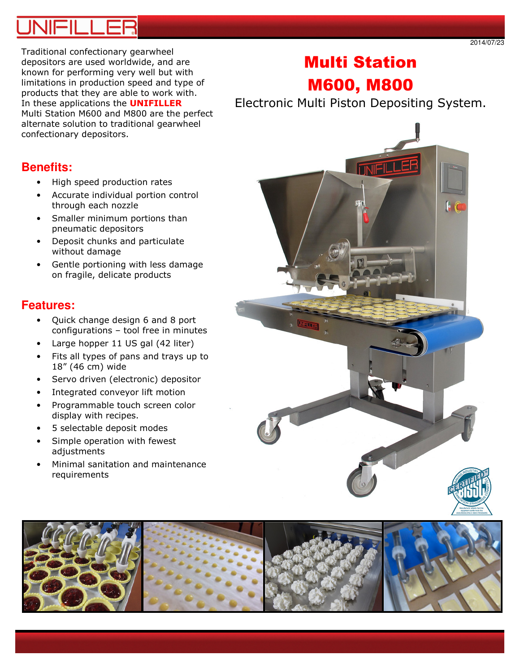2014/07/23

Traditional confectionary gearwheel depositors are used worldwide, and are known for performing very well but with limitations in production speed and type of products that they are able to work with. In these applications the **UNIFILLER** Multi Station M600 and M800 are the perfect alternate solution to traditional gearwheel confectionary depositors.

# Multi Station M600, M800

Electronic Multi Piston Depositing System.



- High speed production rates
- Accurate individual portion control through each nozzle
- Smaller minimum portions than pneumatic depositors
- Deposit chunks and particulate without damage
- Gentle portioning with less damage on fragile, delicate products

# **Features:**

- Quick change design 6 and 8 port configurations – tool free in minutes
- Large hopper 11 US gal (42 liter)
- Fits all types of pans and trays up to 18" (46 cm) wide
- Servo driven (electronic) depositor
- Integrated conveyor lift motion
- Programmable touch screen color display with recipes.
- 5 selectable deposit modes
- Simple operation with fewest adjustments
- Minimal sanitation and maintenance requirements



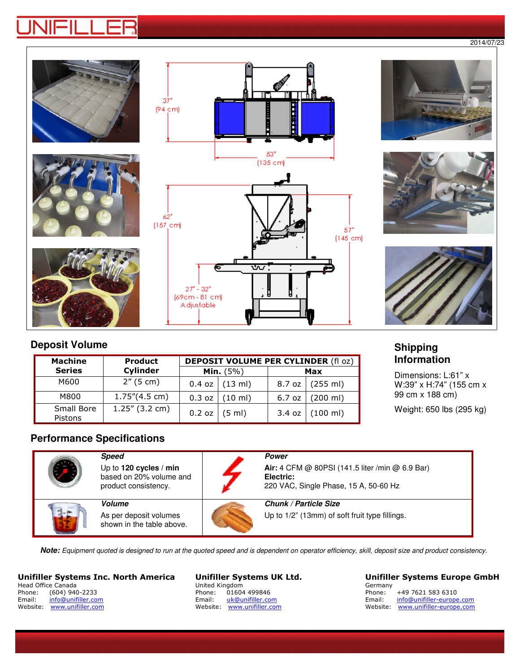#### 2014/07/23



# **Deposit Volume**

| <b>Machine</b>        | <b>Product</b>    |        | <b>DEPOSIT VOLUME PER CYLINDER (fl oz)</b> |          |                     |  |
|-----------------------|-------------------|--------|--------------------------------------------|----------|---------------------|--|
| <b>Series</b>         | Cylinder          |        | <b>Min.</b> $(5%)$                         |          | Max                 |  |
| M600                  | $2''$ (5 cm)      |        | $0.4$ oz $(13$ ml)                         |          | $8.7$ oz $(255$ ml) |  |
| M800                  | 1.75''(4.5 cm)    |        | $0.3$ oz $(10 \text{ ml})$                 | $6.7$ oz | $(200 \text{ ml})$  |  |
| Small Bore<br>Pistons | $1.25''$ (3.2 cm) | 0.2 oz | (5 ml)                                     | 3.4 oz   | $(100 \text{ ml})$  |  |

### **Shipping Information**

Dimensions: L:61" x W:39" x H:74" (155 cm x 99 cm x 188 cm)

Weight: 650 lbs (295 kg)

## **Performance Specifications**

| Speed<br>Up to 120 cycles / min<br>based on 20% volume and<br>product consistency. | <b>Power</b><br>Air: 4 CFM @ 80PSI (141.5 liter /min @ 6.9 Bar)<br>Electric:<br>220 VAC, Single Phase, 15 A, 50-60 Hz |
|------------------------------------------------------------------------------------|-----------------------------------------------------------------------------------------------------------------------|
| <b>Volume</b><br>As per deposit volumes<br>shown in the table above.               | <b>Chunk / Particle Size</b><br>Up to 1/2" (13mm) of soft fruit type fillings.                                        |

**Note:** Equipment quoted is designed to run at the quoted speed and is dependent on operator efficiency, skill, deposit size and product consistency.

### Unifiller Systems Inc. North America

| Head Office Canada |                    |  |  |
|--------------------|--------------------|--|--|
| Phone:             | $(604)$ 940-2233   |  |  |
| Email:             | info@unifiller.com |  |  |
| Website:           | www.unifiller.com  |  |  |

#### Unifiller Systems UK Ltd. United Kingdom<br>Phone: 01604 01604 499846 Email: uk@unifiller.com Website: www.unifiller.com

### Unifiller Systems Europe GmbH Germany<br>Phone:

| Phone:   | +49 7621 583 6310         |
|----------|---------------------------|
| Email:   | info@unifiller-europe.com |
| Website: | www.unifiller-europe.com  |